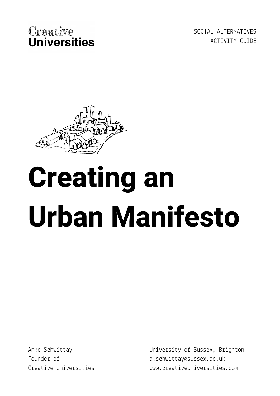SOCIAL ALTERNATIVES ACTIVITY GUIDE



# **Creating an Urban Manifesto**

Anke Schwittay Founder of Creative Universities University of Sussex, Brighton a.schwittay@sussex.ac.uk www.creativeuniversities.com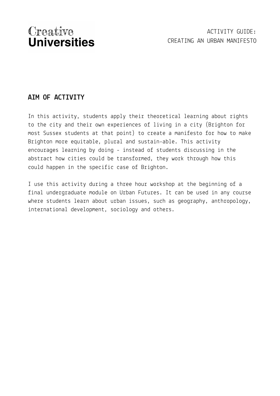## **AIM OF ACTIVITY**

In this activity, students apply their theoretical learning about rights to the city and their own experiences of living in a city (Brighton for most Sussex students at that point) to create a manifesto for how to make Brighton more equitable, plural and sustain-able. This activity encourages learning by doing - instead of students discussing in the abstract how cities could be transformed, they work through how this could happen in the specific case of Brighton.

I use this activity during a three hour workshop at the beginning of a final undergraduate module on Urban Futures. It can be used in any course where students learn about urban issues, such as geography, anthropology, international development, sociology and others.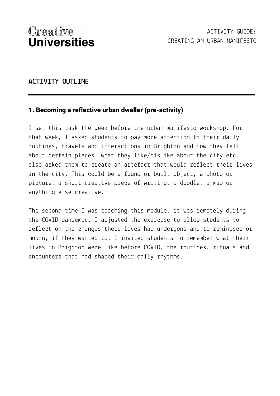#### **ACTIVITY OUTLINE**

#### **1. Becoming a reflective urban dweller (pre-activity)**

I set this task the week before the urban manifesto workshop. For that week, I asked students to pay more attention to their daily routines, travels and interactions in Brighton and how they felt about certain places, what they like/dislike about the city etc. I also asked them to create an artefact that would reflect their lives in the city. This could be a found or built object, a photo or picture, a short creative piece of writing, a doodle, a map or anything else creative.

The second time I was teaching this module, it was remotely during the COVID-pandemic. I adjusted the exercise to allow students to reflect on the changes their lives had undergone and to reminisce or mourn, if they wanted to. I invited students to remember what their lives in Brighton were like before COVID, the routines, rituals and encounters that had shaped their daily rhythms.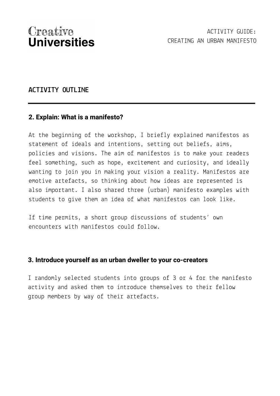#### **ACTIVITY OUTLINE**

#### **2. Explain: What is a manifesto?**

At the beginning of the workshop, I briefly explained manifestos as statement of ideals and intentions, setting out beliefs, aims, policies and visions. The aim of manifestos is to make your readers feel something, such as hope, excitement and curiosity, and ideally wanting to join you in making your vision a reality. Manifestos are emotive artefacts, so thinking about how ideas are represented is also important. I also shared three (urban) manifesto examples with students to give them an idea of what manifestos can look like.

If time permits, a short group discussions of students' own encounters with manifestos could follow.

#### **3. Introduce yourself as an urban dweller to your co-creators**

I randomly selected students into groups of 3 or 4 for the manifesto activity and asked them to introduce themselves to their fellow group members by way of their artefacts.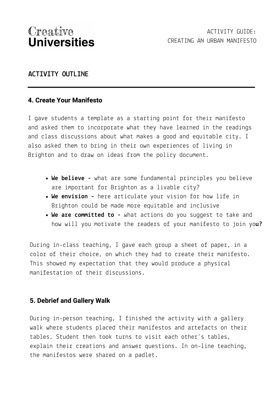#### **ACTIVITY OUTLINE**

#### **4. Create Your Manifesto**

I gave students a template as a starting point for their manifesto and asked them to incorporate what they have learned in the readings and class discussions about what makes a good and equitable city. I also asked them to bring in their own experiences of living in Brighton and to draw on ideas from the policy document.

- **We believe -** what are some fundamental principles you believe are important for Brighton as a livable city?
- **We envision -** here articulate your vision for how life in Brighton could be made more equitable and inclusive
- **We are committed to -** what actions do you suggest to take and how will you motivate the readers of your manifesto to join yo**u?**

During in-class teaching, I gave each group a sheet of paper, in a color of their choice, on which they had to create their manifesto. This showed my expectation that they would produce a physical manifestation of their discussions.

#### **5. Debrief and Gallery Walk**

During in-person teaching, I finished the activity with a gallery walk where students placed their manifestos and artefacts on their tables. Student then took turns to visit each other's tables, explain their creations and answer questions. In on-line teaching, the manifestos were shared on a padlet.